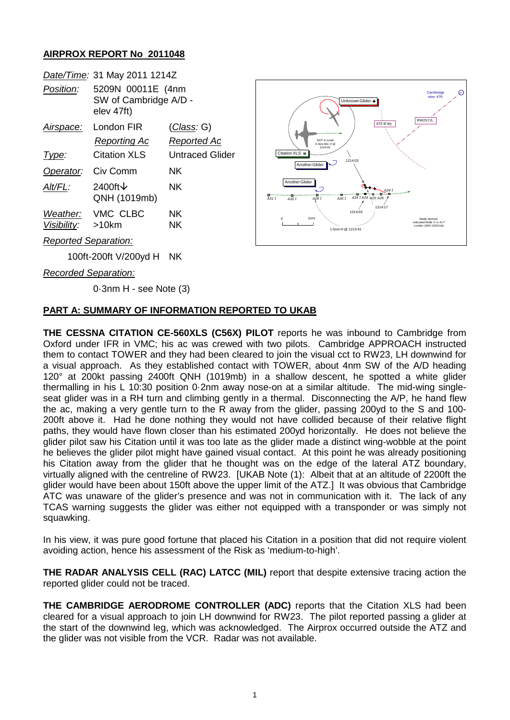## **AIRPROX REPORT No 2011048**

| Date/Time: 31 May 2011 1214Z |                                                          |                    |
|------------------------------|----------------------------------------------------------|--------------------|
| Position:                    | 5209N 00011E (4nm<br>SW of Cambridge A/D -<br>elev 47ft) |                    |
| Airspace:                    | London FIR                                               | <u>(Class</u> : G) |
|                              | Reporting Ac                                             | Reported Ac        |
| Type:                        | Citation XLS                                             | Untraced Glider    |
| Operator: Civ Comm           |                                                          | NΚ                 |
| Alt/FL:                      | 2400ft $\vee$<br>QNH (1019mb)                            | NK.                |
|                              | Weather: VMC CLBC                                        | NΚ                 |
| Visibility: >10km            |                                                          | NΚ                 |
| <b>Reported Separation:</b>  |                                                          |                    |
| 100ft-200ft V/200yd H        |                                                          | NΚ                 |



*Recorded Separation:*

0·3nm H - see Note (3)

## **PART A: SUMMARY OF INFORMATION REPORTED TO UKAB**

**THE CESSNA CITATION CE-560XLS (C56X) PILOT** reports he was inbound to Cambridge from Oxford under IFR in VMC; his ac was crewed with two pilots. Cambridge APPROACH instructed them to contact TOWER and they had been cleared to join the visual cct to RW23, LH downwind for a visual approach. As they established contact with TOWER, about 4nm SW of the A/D heading 120° at 200kt passing 2400ft QNH (1019mb) in a shallow descent, he spotted a white glider thermalling in his L 10:30 position 0·2nm away nose-on at a similar altitude. The mid-wing singleseat glider was in a RH turn and climbing gently in a thermal. Disconnecting the A/P, he hand flew the ac, making a very gentle turn to the R away from the glider, passing 200yd to the S and 100- 200ft above it. Had he done nothing they would not have collided because of their relative flight paths, they would have flown closer than his estimated 200yd horizontally. He does not believe the glider pilot saw his Citation until it was too late as the glider made a distinct wing-wobble at the point he believes the glider pilot might have gained visual contact. At this point he was already positioning his Citation away from the glider that he thought was on the edge of the lateral ATZ boundary, virtually aligned with the centreline of RW23. [UKAB Note (1): Albeit that at an altitude of 2200ft the glider would have been about 150ft above the upper limit of the ATZ.] It was obvious that Cambridge ATC was unaware of the glider's presence and was not in communication with it. The lack of any TCAS warning suggests the glider was either not equipped with a transponder or was simply not squawking.

In his view, it was pure good fortune that placed his Citation in a position that did not require violent avoiding action, hence his assessment of the Risk as 'medium-to-high'.

**THE RADAR ANALYSIS CELL (RAC) LATCC (MIL)** report that despite extensive tracing action the reported glider could not be traced.

**THE CAMBRIDGE AERODROME CONTROLLER (ADC)** reports that the Citation XLS had been cleared for a visual approach to join LH downwind for RW23. The pilot reported passing a glider at the start of the downwind leg, which was acknowledged. The Airprox occurred outside the ATZ and the glider was not visible from the VCR. Radar was not available.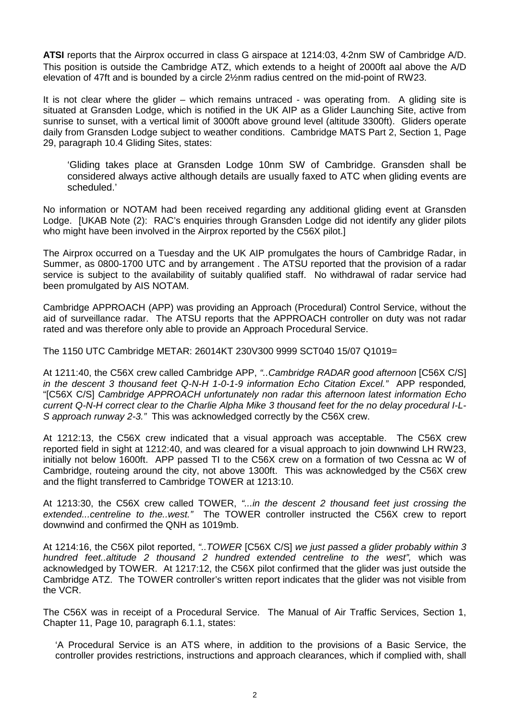**ATSI** reports that the Airprox occurred in class G airspace at 1214:03, 4·2nm SW of Cambridge A/D. This position is outside the Cambridge ATZ, which extends to a height of 2000ft aal above the A/D elevation of 47ft and is bounded by a circle 2½nm radius centred on the mid-point of RW23.

It is not clear where the glider – which remains untraced - was operating from. A gliding site is situated at Gransden Lodge, which is notified in the UK AIP as a Glider Launching Site, active from sunrise to sunset, with a vertical limit of 3000ft above ground level (altitude 3300ft). Gliders operate daily from Gransden Lodge subject to weather conditions. Cambridge MATS Part 2, Section 1, Page 29, paragraph 10.4 Gliding Sites, states:

'Gliding takes place at Gransden Lodge 10nm SW of Cambridge. Gransden shall be considered always active although details are usually faxed to ATC when gliding events are scheduled.'

No information or NOTAM had been received regarding any additional gliding event at Gransden Lodge. [UKAB Note (2): RAC's enquiries through Gransden Lodge did not identify any glider pilots who might have been involved in the Airprox reported by the C56X pilot.]

The Airprox occurred on a Tuesday and the UK AIP promulgates the hours of Cambridge Radar, in Summer, as 0800-1700 UTC and by arrangement . The ATSU reported that the provision of a radar service is subject to the availability of suitably qualified staff. No withdrawal of radar service had been promulgated by AIS NOTAM.

Cambridge APPROACH (APP) was providing an Approach (Procedural) Control Service, without the aid of surveillance radar. The ATSU reports that the APPROACH controller on duty was not radar rated and was therefore only able to provide an Approach Procedural Service.

The 1150 UTC Cambridge METAR: 26014KT 230V300 9999 SCT040 15/07 Q1019=

At 1211:40, the C56X crew called Cambridge APP, *"..Cambridge RADAR good afternoon* [C56X C/S] *in the descent 3 thousand feet Q-N-H 1-0-1-9 information Echo Citation Excel."* APP responded*,* "[C56X C/S] *Cambridge APPROACH unfortunately non radar this afternoon latest information Echo current Q-N-H correct clear to the Charlie Alpha Mike 3 thousand feet for the no delay procedural I-L-S approach runway 2-3."* This was acknowledged correctly by the C56X crew.

At 1212:13, the C56X crew indicated that a visual approach was acceptable. The C56X crew reported field in sight at 1212:40, and was cleared for a visual approach to join downwind LH RW23, initially not below 1600ft. APP passed TI to the C56X crew on a formation of two Cessna ac W of Cambridge, routeing around the city, not above 1300ft. This was acknowledged by the C56X crew and the flight transferred to Cambridge TOWER at 1213:10.

At 1213:30, the C56X crew called TOWER, *"...in the descent 2 thousand feet just crossing the extended...centreline to the..west."* The TOWER controller instructed the C56X crew to report downwind and confirmed the QNH as 1019mb.

At 1214:16, the C56X pilot reported, *"..TOWER* [C56X C/S] *we just passed a glider probably within 3 hundred feet..altitude 2 thousand 2 hundred extended centreline to the west",* which was acknowledged by TOWER. At 1217:12, the C56X pilot confirmed that the glider was just outside the Cambridge ATZ. The TOWER controller's written report indicates that the glider was not visible from the VCR.

The C56X was in receipt of a Procedural Service. The Manual of Air Traffic Services, Section 1, Chapter 11, Page 10, paragraph 6.1.1, states:

'A Procedural Service is an ATS where, in addition to the provisions of a Basic Service, the controller provides restrictions, instructions and approach clearances, which if complied with, shall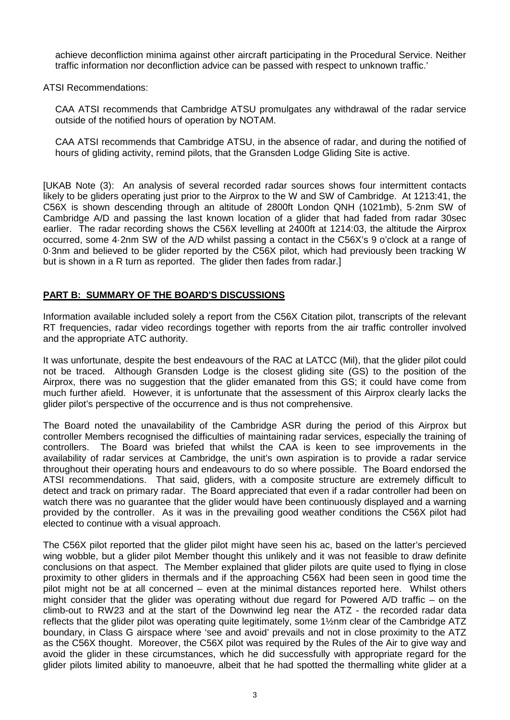achieve deconfliction minima against other aircraft participating in the Procedural Service. Neither traffic information nor deconfliction advice can be passed with respect to unknown traffic.'

ATSI Recommendations:

CAA ATSI recommends that Cambridge ATSU promulgates any withdrawal of the radar service outside of the notified hours of operation by NOTAM.

CAA ATSI recommends that Cambridge ATSU, in the absence of radar, and during the notified of hours of gliding activity, remind pilots, that the Gransden Lodge Gliding Site is active.

[UKAB Note (3): An analysis of several recorded radar sources shows four intermittent contacts likely to be gliders operating just prior to the Airprox to the W and SW of Cambridge. At 1213:41, the C56X is shown descending through an altitude of 2800ft London QNH (1021mb), 5·2nm SW of Cambridge A/D and passing the last known location of a glider that had faded from radar 30sec earlier. The radar recording shows the C56X levelling at 2400ft at 1214:03, the altitude the Airprox occurred, some 4·2nm SW of the A/D whilst passing a contact in the C56X's 9 o'clock at a range of 0·3nm and believed to be glider reported by the C56X pilot, which had previously been tracking W but is shown in a R turn as reported. The glider then fades from radar.]

## **PART B: SUMMARY OF THE BOARD'S DISCUSSIONS**

Information available included solely a report from the C56X Citation pilot, transcripts of the relevant RT frequencies, radar video recordings together with reports from the air traffic controller involved and the appropriate ATC authority.

It was unfortunate, despite the best endeavours of the RAC at LATCC (Mil), that the glider pilot could not be traced. Although Gransden Lodge is the closest gliding site (GS) to the position of the Airprox, there was no suggestion that the glider emanated from this GS; it could have come from much further afield. However, it is unfortunate that the assessment of this Airprox clearly lacks the glider pilot's perspective of the occurrence and is thus not comprehensive.

The Board noted the unavailability of the Cambridge ASR during the period of this Airprox but controller Members recognised the difficulties of maintaining radar services, especially the training of controllers. The Board was briefed that whilst the CAA is keen to see improvements in the availability of radar services at Cambridge, the unit's own aspiration is to provide a radar service throughout their operating hours and endeavours to do so where possible. The Board endorsed the ATSI recommendations. That said, gliders, with a composite structure are extremely difficult to detect and track on primary radar. The Board appreciated that even if a radar controller had been on watch there was no guarantee that the glider would have been continuously displayed and a warning provided by the controller. As it was in the prevailing good weather conditions the C56X pilot had elected to continue with a visual approach.

The C56X pilot reported that the glider pilot might have seen his ac, based on the latter's percieved wing wobble, but a glider pilot Member thought this unlikely and it was not feasible to draw definite conclusions on that aspect. The Member explained that glider pilots are quite used to flying in close proximity to other gliders in thermals and if the approaching C56X had been seen in good time the pilot might not be at all concerned – even at the minimal distances reported here. Whilst others might consider that the glider was operating without due regard for Powered A/D traffic – on the climb-out to RW23 and at the start of the Downwind leg near the ATZ - the recorded radar data reflects that the glider pilot was operating quite legitimately, some 1½nm clear of the Cambridge ATZ boundary, in Class G airspace where 'see and avoid' prevails and not in close proximity to the ATZ as the C56X thought. Moreover, the C56X pilot was required by the Rules of the Air to give way and avoid the glider in these circumstances, which he did successfully with appropriate regard for the glider pilots limited ability to manoeuvre, albeit that he had spotted the thermalling white glider at a